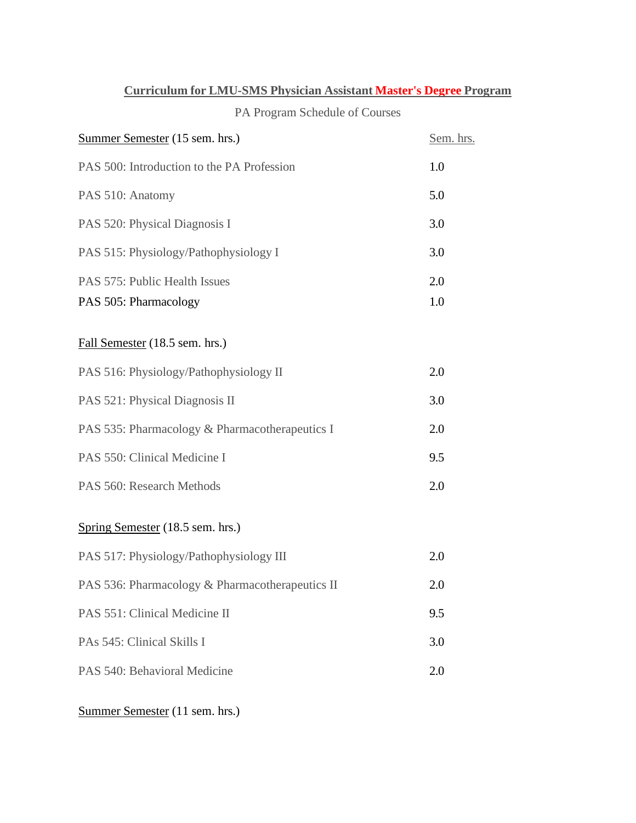|  |  | <b>Curriculum for LMU-SMS Physician Assistant Master's Degree Program</b> |
|--|--|---------------------------------------------------------------------------|
|  |  |                                                                           |

## PA Program Schedule of Courses

| Summer Semester (15 sem. hrs.)                  |     |  |
|-------------------------------------------------|-----|--|
| PAS 500: Introduction to the PA Profession      |     |  |
| PAS 510: Anatomy                                |     |  |
| PAS 520: Physical Diagnosis I                   | 3.0 |  |
| PAS 515: Physiology/Pathophysiology I           |     |  |
| PAS 575: Public Health Issues                   | 2.0 |  |
| PAS 505: Pharmacology                           | 1.0 |  |
| Fall Semester (18.5 sem. hrs.)                  |     |  |
| PAS 516: Physiology/Pathophysiology II          | 2.0 |  |
| PAS 521: Physical Diagnosis II                  | 3.0 |  |
| PAS 535: Pharmacology & Pharmacotherapeutics I  | 2.0 |  |
| PAS 550: Clinical Medicine I                    |     |  |
| PAS 560: Research Methods                       |     |  |
| Spring Semester (18.5 sem. hrs.)                |     |  |
| PAS 517: Physiology/Pathophysiology III         | 2.0 |  |
| PAS 536: Pharmacology & Pharmacotherapeutics II | 2.0 |  |
| PAS 551: Clinical Medicine II                   | 9.5 |  |
| PAs 545: Clinical Skills I                      |     |  |
| PAS 540: Behavioral Medicine                    |     |  |
|                                                 |     |  |

Summer Semester (11 sem. hrs.)